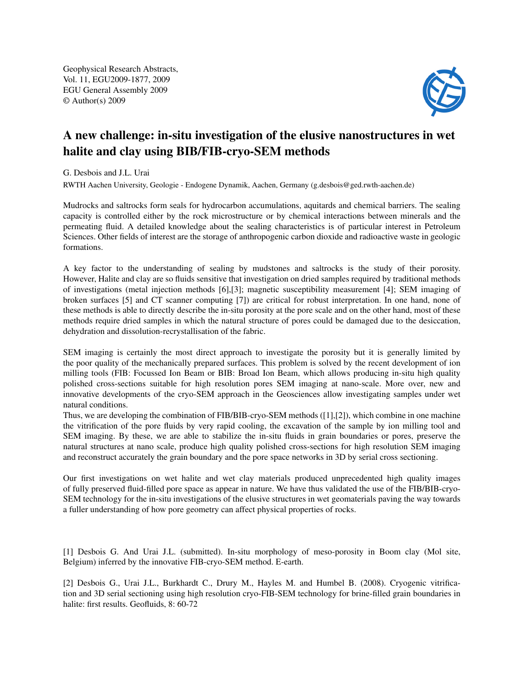Geophysical Research Abstracts, Vol. 11, EGU2009-1877, 2009 EGU General Assembly 2009 © Author(s) 2009



## A new challenge: in-situ investigation of the elusive nanostructures in wet halite and clay using BIB/FIB-cryo-SEM methods

G. Desbois and J.L. Urai

RWTH Aachen University, Geologie - Endogene Dynamik, Aachen, Germany (g.desbois@ged.rwth-aachen.de)

Mudrocks and saltrocks form seals for hydrocarbon accumulations, aquitards and chemical barriers. The sealing capacity is controlled either by the rock microstructure or by chemical interactions between minerals and the permeating fluid. A detailed knowledge about the sealing characteristics is of particular interest in Petroleum Sciences. Other fields of interest are the storage of anthropogenic carbon dioxide and radioactive waste in geologic formations.

A key factor to the understanding of sealing by mudstones and saltrocks is the study of their porosity. However, Halite and clay are so fluids sensitive that investigation on dried samples required by traditional methods of investigations (metal injection methods [6],[3]; magnetic susceptibility measurement [4]; SEM imaging of broken surfaces [5] and CT scanner computing [7]) are critical for robust interpretation. In one hand, none of these methods is able to directly describe the in-situ porosity at the pore scale and on the other hand, most of these methods require dried samples in which the natural structure of pores could be damaged due to the desiccation, dehydration and dissolution-recrystallisation of the fabric.

SEM imaging is certainly the most direct approach to investigate the porosity but it is generally limited by the poor quality of the mechanically prepared surfaces. This problem is solved by the recent development of ion milling tools (FIB: Focussed Ion Beam or BIB: Broad Ion Beam, which allows producing in-situ high quality polished cross-sections suitable for high resolution pores SEM imaging at nano-scale. More over, new and innovative developments of the cryo-SEM approach in the Geosciences allow investigating samples under wet natural conditions.

Thus, we are developing the combination of FIB/BIB-cryo-SEM methods ([1],[2]), which combine in one machine the vitrification of the pore fluids by very rapid cooling, the excavation of the sample by ion milling tool and SEM imaging. By these, we are able to stabilize the in-situ fluids in grain boundaries or pores, preserve the natural structures at nano scale, produce high quality polished cross-sections for high resolution SEM imaging and reconstruct accurately the grain boundary and the pore space networks in 3D by serial cross sectioning.

Our first investigations on wet halite and wet clay materials produced unprecedented high quality images of fully preserved fluid-filled pore space as appear in nature. We have thus validated the use of the FIB/BIB-cryo-SEM technology for the in-situ investigations of the elusive structures in wet geomaterials paving the way towards a fuller understanding of how pore geometry can affect physical properties of rocks.

[1] Desbois G. And Urai J.L. (submitted). In-situ morphology of meso-porosity in Boom clay (Mol site, Belgium) inferred by the innovative FIB-cryo-SEM method. E-earth.

[2] Desbois G., Urai J.L., Burkhardt C., Drury M., Hayles M. and Humbel B. (2008). Cryogenic vitrification and 3D serial sectioning using high resolution cryo-FIB-SEM technology for brine-filled grain boundaries in halite: first results. Geofluids, 8: 60-72